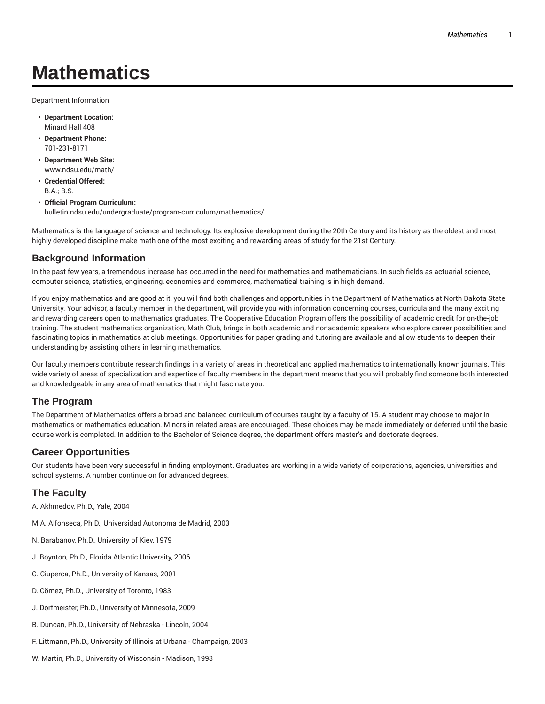# **Mathematics**

Department Information

- **Department Location:** Minard Hall 408
- **Department Phone:** 701-231-8171
- **Department Web Site:** www.ndsu.edu/math/
- **Credential Offered:** B.A.; B.S.
- **Official Program Curriculum:** bulletin.ndsu.edu/undergraduate/program-curriculum/mathematics/

Mathematics is the language of science and technology. Its explosive development during the 20th Century and its history as the oldest and most highly developed discipline make math one of the most exciting and rewarding areas of study for the 21st Century.

#### **Background Information**

In the past few years, a tremendous increase has occurred in the need for mathematics and mathematicians. In such fields as actuarial science, computer science, statistics, engineering, economics and commerce, mathematical training is in high demand.

If you enjoy mathematics and are good at it, you will find both challenges and opportunities in the Department of Mathematics at North Dakota State University. Your advisor, a faculty member in the department, will provide you with information concerning courses, curricula and the many exciting and rewarding careers open to mathematics graduates. The Cooperative Education Program offers the possibility of academic credit for on-the-job training. The student mathematics organization, Math Club, brings in both academic and nonacademic speakers who explore career possibilities and fascinating topics in mathematics at club meetings. Opportunities for paper grading and tutoring are available and allow students to deepen their understanding by assisting others in learning mathematics.

Our faculty members contribute research findings in a variety of areas in theoretical and applied mathematics to internationally known journals. This wide variety of areas of specialization and expertise of faculty members in the department means that you will probably find someone both interested and knowledgeable in any area of mathematics that might fascinate you.

#### **The Program**

The Department of Mathematics offers a broad and balanced curriculum of courses taught by a faculty of 15. A student may choose to major in mathematics or mathematics education. Minors in related areas are encouraged. These choices may be made immediately or deferred until the basic course work is completed. In addition to the Bachelor of Science degree, the department offers master's and doctorate degrees.

### **Career Opportunities**

Our students have been very successful in finding employment. Graduates are working in a wide variety of corporations, agencies, universities and school systems. A number continue on for advanced degrees.

### **The Faculty**

- A. Akhmedov, Ph.D., Yale, 2004
- M.A. Alfonseca, Ph.D., Universidad Autonoma de Madrid, 2003
- N. Barabanov, Ph.D., University of Kiev, 1979
- J. Boynton, Ph.D., Florida Atlantic University, 2006
- C. Ciuperca, Ph.D., University of Kansas, 2001
- D. Cömez, Ph.D., University of Toronto, 1983
- J. Dorfmeister, Ph.D., University of Minnesota, 2009
- B. Duncan, Ph.D., University of Nebraska Lincoln, 2004
- F. Littmann, Ph.D., University of Illinois at Urbana Champaign, 2003
- W. Martin, Ph.D., University of Wisconsin Madison, 1993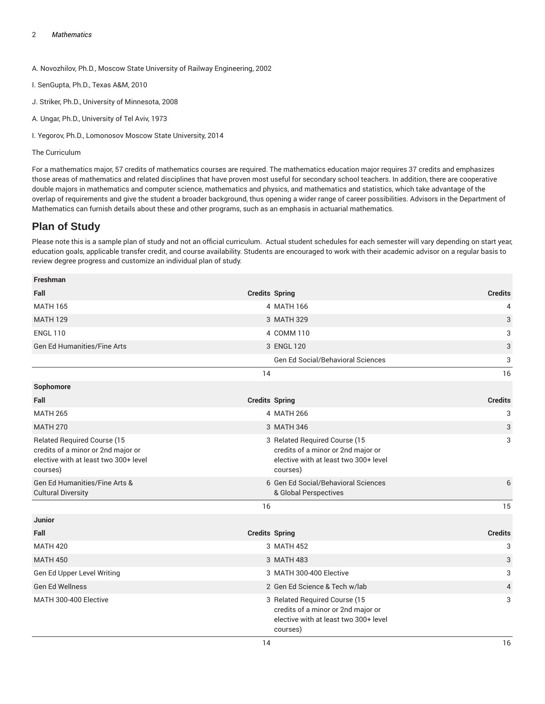A. Novozhilov, Ph.D., Moscow State University of Railway Engineering, 2002

- I. SenGupta, Ph.D., Texas A&M, 2010
- J. Striker, Ph.D., University of Minnesota, 2008
- A. Ungar, Ph.D., University of Tel Aviv, 1973

I. Yegorov, Ph.D., Lomonosov Moscow State University, 2014

The Curriculum

For a mathematics major, 57 credits of mathematics courses are required. The mathematics education major requires 37 credits and emphasizes those areas of mathematics and related disciplines that have proven most useful for secondary school teachers. In addition, there are cooperative double majors in mathematics and computer science, mathematics and physics, and mathematics and statistics, which take advantage of the overlap of requirements and give the student a broader background, thus opening a wider range of career possibilities. Advisors in the Department of Mathematics can furnish details about these and other programs, such as an emphasis in actuarial mathematics.

## **Plan of Study**

Please note this is a sample plan of study and not an official curriculum. Actual student schedules for each semester will vary depending on start year, education goals, applicable transfer credit, and course availability. Students are encouraged to work with their academic advisor on a regular basis to review degree progress and customize an individual plan of study.

| Freshman                                                                                                                      |                       |                                                                                                                          |                |
|-------------------------------------------------------------------------------------------------------------------------------|-----------------------|--------------------------------------------------------------------------------------------------------------------------|----------------|
| Fall                                                                                                                          | <b>Credits Spring</b> |                                                                                                                          | <b>Credits</b> |
| <b>MATH 165</b>                                                                                                               |                       | 4 MATH 166                                                                                                               | 4              |
| <b>MATH 129</b>                                                                                                               |                       | 3 MATH 329                                                                                                               | 3              |
| <b>ENGL 110</b>                                                                                                               |                       | 4 COMM 110                                                                                                               | 3              |
| <b>Gen Ed Humanities/Fine Arts</b>                                                                                            |                       | 3 ENGL 120                                                                                                               | 3              |
|                                                                                                                               |                       | Gen Ed Social/Behavioral Sciences                                                                                        | 3              |
|                                                                                                                               | 14                    |                                                                                                                          | 16             |
| Sophomore                                                                                                                     |                       |                                                                                                                          |                |
| Fall                                                                                                                          | <b>Credits Spring</b> |                                                                                                                          | <b>Credits</b> |
| <b>MATH 265</b>                                                                                                               |                       | 4 MATH 266                                                                                                               | 3              |
| <b>MATH 270</b>                                                                                                               |                       | 3 MATH 346                                                                                                               | 3              |
| <b>Related Required Course (15</b><br>credits of a minor or 2nd major or<br>elective with at least two 300+ level<br>courses) |                       | 3 Related Required Course (15<br>credits of a minor or 2nd major or<br>elective with at least two 300+ level<br>courses) | 3              |
| Gen Ed Humanities/Fine Arts &<br><b>Cultural Diversity</b>                                                                    |                       | 6 Gen Ed Social/Behavioral Sciences<br>& Global Perspectives                                                             | 6              |
|                                                                                                                               | 16                    |                                                                                                                          | 15             |
| <b>Junior</b>                                                                                                                 |                       |                                                                                                                          |                |
| Fall                                                                                                                          | <b>Credits Spring</b> |                                                                                                                          | <b>Credits</b> |
| <b>MATH 420</b>                                                                                                               |                       | 3 MATH 452                                                                                                               | 3              |
| <b>MATH 450</b>                                                                                                               |                       | 3 MATH 483                                                                                                               | 3              |
| Gen Ed Upper Level Writing                                                                                                    |                       | 3 MATH 300-400 Elective                                                                                                  | 3              |
| <b>Gen Ed Wellness</b>                                                                                                        |                       | 2 Gen Ed Science & Tech w/lab                                                                                            | 4              |
| MATH 300-400 Elective                                                                                                         |                       | 3 Related Required Course (15<br>credits of a minor or 2nd major or<br>elective with at least two 300+ level<br>courses) | 3              |